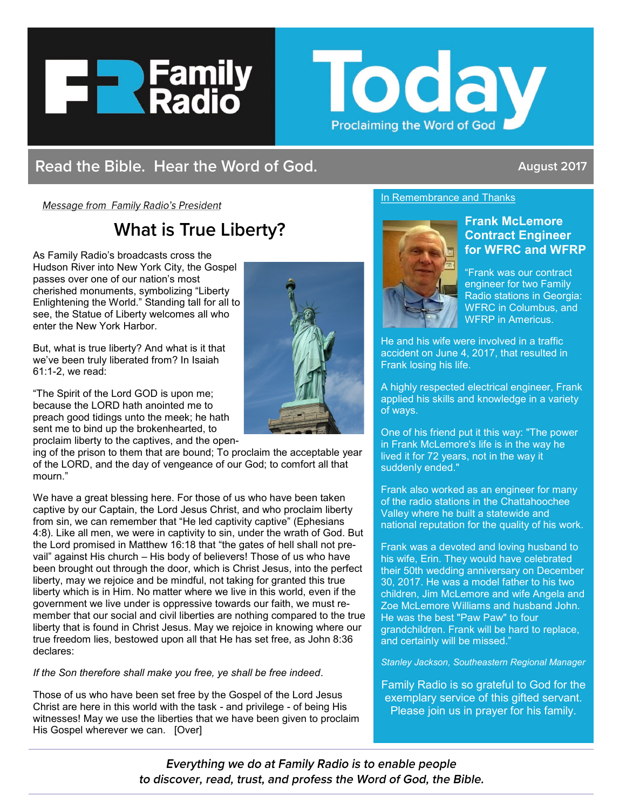



# Read the Bible. Hear the Word of God.

## August 2017

Message from Family Radio's President

# **What is True Liberty?**

As Family Radio's broadcasts cross the Hudson River into New York City, the Gospel passes over one of our nation's most cherished monuments, symbolizing "Liberty Enlightening the World." Standing tall for all to see, the Statue of Liberty welcomes all who enter the New York Harbor.

But, what is true liberty? And what is it that we've been truly liberated from? In Isaiah 61:1-2, we read:

"The Spirit of the Lord GOD is upon me; because the LORD hath anointed me to preach good tidings unto the meek; he hath sent me to bind up the brokenhearted, to



proclaim liberty to the captives, and the open-

ing of the prison to them that are bound; To proclaim the acceptable year of the LORD, and the day of vengeance of our God; to comfort all that mourn."

We have a great blessing here. For those of us who have been taken captive by our Captain, the Lord Jesus Christ, and who proclaim liberty from sin, we can remember that "He led captivity captive" (Ephesians 4:8). Like all men, we were in captivity to sin, under the wrath of God. But the Lord promised in Matthew 16:18 that "the gates of hell shall not prevail" against His church – His body of believers! Those of us who have been brought out through the door, which is Christ Jesus, into the perfect liberty, may we rejoice and be mindful, not taking for granted this true liberty which is in Him. No matter where we live in this world, even if the government we live under is oppressive towards our faith, we must remember that our social and civil liberties are nothing compared to the true liberty that is found in Christ Jesus. May we rejoice in knowing where our true freedom lies, bestowed upon all that He has set free, as John 8:36 declares:

#### *If the Son therefore shall make you free, ye shall be free indeed*.

Those of us who have been set free by the Gospel of the Lord Jesus Christ are here in this world with the task - and privilege - of being His witnesses! May we use the liberties that we have been given to proclaim His Gospel wherever we can. [Over]

#### In Remembrance and Thanks



### **Frank McLemore Contract Engineer for WFRC and WFRP**

"Frank was our contract engineer for two Family Radio stations in Georgia: WFRC in Columbus, and WFRP in Americus.

He and his wife were involved in a traffic accident on June 4, 2017, that resulted in Frank losing his life.

A highly respected electrical engineer, Frank applied his skills and knowledge in a variety of ways.

One of his friend put it this way: "The power in Frank McLemore's life is in the way he lived it for 72 years, not in the way it suddenly ended."

Frank also worked as an engineer for many of the radio stations in the Chattahoochee Valley where he built a statewide and national reputation for the quality of his work.

Frank was a devoted and loving husband to his wife, Erin. They would have celebrated their 50th wedding anniversary on December 30, 2017. He was a model father to his two children, Jim McLemore and wife Angela and Zoe McLemore Williams and husband John. He was the best "Paw Paw" to four grandchildren. Frank will be hard to replace, and certainly will be missed."

*Stanley Jackson, Southeastern Regional Manager*

Family Radio is so grateful to God for the exemplary service of this gifted servant. Please join us in prayer for his family.

Everything we do at Family Radio is to enable people to discover, read, trust, and profess the Word of God, the Bible.